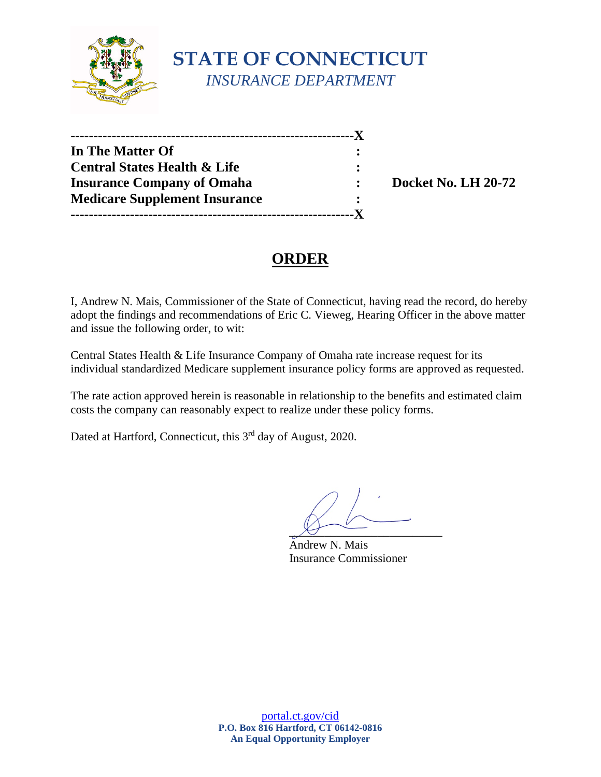

| In The Matter Of                        |  |
|-----------------------------------------|--|
| <b>Central States Health &amp; Life</b> |  |
| <b>Insurance Company of Omaha</b>       |  |
| <b>Medicare Supplement Insurance</b>    |  |
|                                         |  |

**Docket No. LH 20-72** 

# **ORDER**

I, Andrew N. Mais, Commissioner of the State of Connecticut, having read the record, do hereby adopt the findings and recommendations of Eric C. Vieweg, Hearing Officer in the above matter and issue the following order, to wit:

Central States Health & Life Insurance Company of Omaha rate increase request for its individual standardized Medicare supplement insurance policy forms are approved as requested.

The rate action approved herein is reasonable in relationship to the benefits and estimated claim costs the company can reasonably expect to realize under these policy forms.

Dated at Hartford, Connecticut, this 3<sup>rd</sup> day of August, 2020.

 $\chi_f$  -

Andrew N. Mais Insurance Commissioner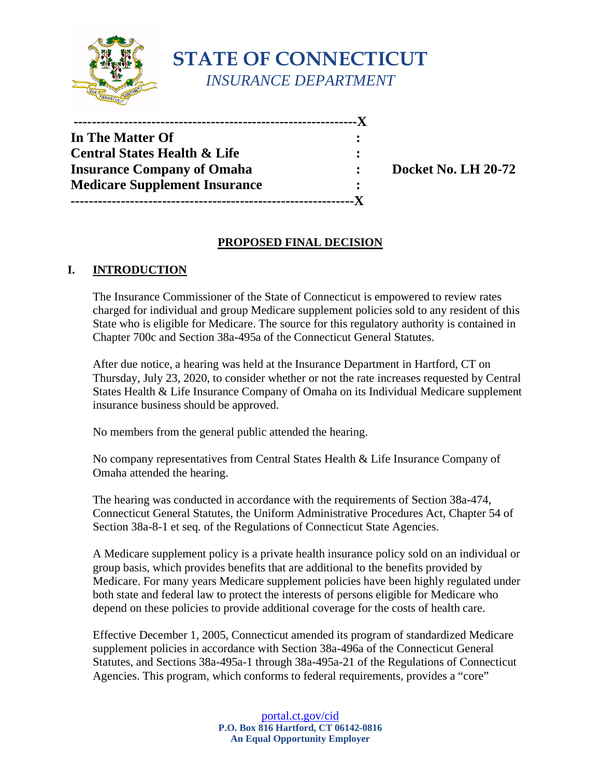

**STATE OF CONNECTICUT** *INSURANCE DEPARTMENT*

| -------------------------------         |           |  |
|-----------------------------------------|-----------|--|
| In The Matter Of                        |           |  |
| <b>Central States Health &amp; Life</b> | :         |  |
| <b>Insurance Company of Omaha</b>       | $\bullet$ |  |
| <b>Medicare Supplement Insurance</b>    | ٠         |  |
| -------------------------------         |           |  |

**Insurance Company of Omaha : Docket No. LH 20-72** 

# **PROPOSED FINAL DECISION**

### **I. INTRODUCTION**

The Insurance Commissioner of the State of Connecticut is empowered to review rates charged for individual and group Medicare supplement policies sold to any resident of this State who is eligible for Medicare. The source for this regulatory authority is contained in Chapter 700c and Section 38a-495a of the Connecticut General Statutes.

After due notice, a hearing was held at the Insurance Department in Hartford, CT on Thursday, July 23, 2020, to consider whether or not the rate increases requested by Central States Health & Life Insurance Company of Omaha on its Individual Medicare supplement insurance business should be approved.

No members from the general public attended the hearing.

No company representatives from Central States Health & Life Insurance Company of Omaha attended the hearing.

The hearing was conducted in accordance with the requirements of Section 38a-474, Connecticut General Statutes, the Uniform Administrative Procedures Act, Chapter 54 of Section 38a-8-1 et seq. of the Regulations of Connecticut State Agencies.

A Medicare supplement policy is a private health insurance policy sold on an individual or group basis, which provides benefits that are additional to the benefits provided by Medicare. For many years Medicare supplement policies have been highly regulated under both state and federal law to protect the interests of persons eligible for Medicare who depend on these policies to provide additional coverage for the costs of health care.

Effective December 1, 2005, Connecticut amended its program of standardized Medicare supplement policies in accordance with Section 38a-496a of the Connecticut General Statutes, and Sections 38a-495a-1 through 38a-495a-21 of the Regulations of Connecticut Agencies. This program, which conforms to federal requirements, provides a "core"

> [portal.ct.gov/cid](https://portal.ct.gov/cid) **P.O. Box 816 Hartford, CT 06142-0816 An Equal Opportunity Employer**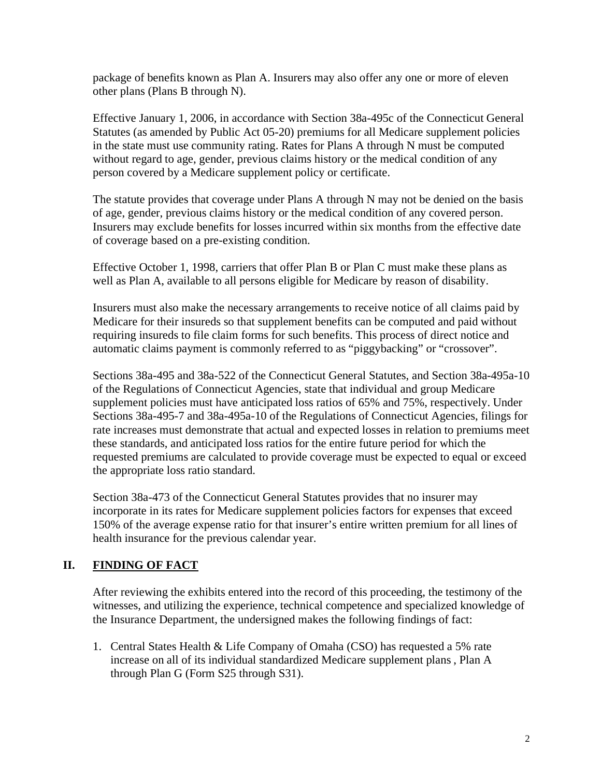package of benefits known as Plan A. Insurers may also offer any one or more of eleven other plans (Plans B through N).

Effective January 1, 2006, in accordance with Section 38a-495c of the Connecticut General Statutes (as amended by Public Act 05-20) premiums for all Medicare supplement policies in the state must use community rating. Rates for Plans A through N must be computed without regard to age, gender, previous claims history or the medical condition of any person covered by a Medicare supplement policy or certificate.

The statute provides that coverage under Plans A through N may not be denied on the basis of age, gender, previous claims history or the medical condition of any covered person. Insurers may exclude benefits for losses incurred within six months from the effective date of coverage based on a pre-existing condition.

Effective October 1, 1998, carriers that offer Plan B or Plan C must make these plans as well as Plan A, available to all persons eligible for Medicare by reason of disability.

Insurers must also make the necessary arrangements to receive notice of all claims paid by Medicare for their insureds so that supplement benefits can be computed and paid without requiring insureds to file claim forms for such benefits. This process of direct notice and automatic claims payment is commonly referred to as "piggybacking" or "crossover".

Sections 38a-495 and 38a-522 of the Connecticut General Statutes, and Section 38a-495a-10 of the Regulations of Connecticut Agencies, state that individual and group Medicare supplement policies must have anticipated loss ratios of 65% and 75%, respectively. Under Sections 38a-495-7 and 38a-495a-10 of the Regulations of Connecticut Agencies, filings for rate increases must demonstrate that actual and expected losses in relation to premiums meet these standards, and anticipated loss ratios for the entire future period for which the requested premiums are calculated to provide coverage must be expected to equal or exceed the appropriate loss ratio standard.

Section 38a-473 of the Connecticut General Statutes provides that no insurer may incorporate in its rates for Medicare supplement policies factors for expenses that exceed 150% of the average expense ratio for that insurer's entire written premium for all lines of health insurance for the previous calendar year.

# **II. FINDING OF FACT**

After reviewing the exhibits entered into the record of this proceeding, the testimony of the witnesses, and utilizing the experience, technical competence and specialized knowledge of the Insurance Department, the undersigned makes the following findings of fact:

1. Central States Health & Life Company of Omaha (CSO) has requested a 5% rate increase on all of its individual standardized Medicare supplement plans , Plan A through Plan G (Form S25 through S31).